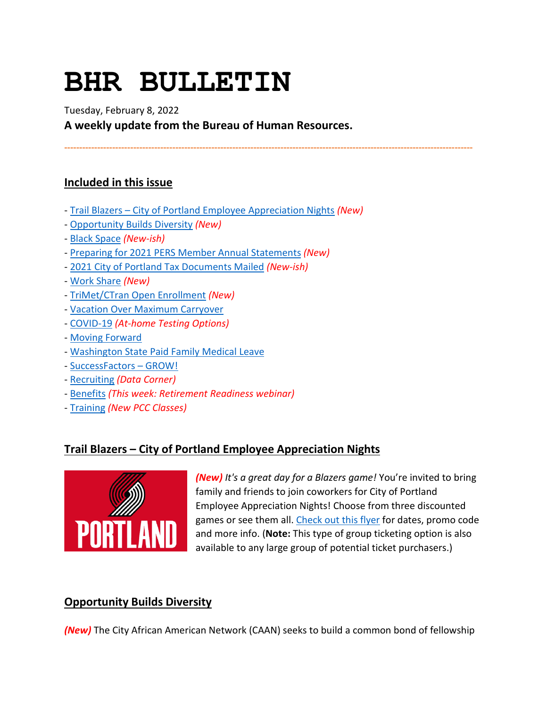# **BHR BULLETIN**

Tuesday, February 8, 2022

**A weekly update from the Bureau of Human Resources.**

**----------------------------------------------------------------------------------------------------------------------------------------**

# **Included in this issue**

- [Trail Blazers City of Portland Employee Appreciation Nights](#page-0-0) *(New)*
- [Opportunity Builds Diversity](#page-0-1) *(New)*
- [Black Space](#page-1-0) *(New-ish)*
- [Preparing for 2021 PERS Member Annual Statements](#page-1-1) *(New)*
- [2021 City of Portland Tax Documents Mailed](#page-2-0) *(New-ish)*
- [Work Share](#page-3-0) *(New)*
- [TriMet/CTran Open Enrollment](#page-4-0) *(New)*
- [Vacation Over Maximum Carryover](#page-4-1)
- [COVID-19](#page-6-0) *(At-home Testing Options)*
- [Moving Forward](#page-9-0)
- [Washington State Paid Family Medical Leave](#page-11-0)
- [SuccessFactors GROW!](#page-12-0)
- [Recruiting](#page-16-0) *(Data Corner)*
- [Benefits](#page-14-0) *(This week: Retirement Readiness webinar)*
- [Training](#page-17-0) *(New PCC Classes)*

# <span id="page-0-0"></span>**Trail Blazers – City of Portland Employee Appreciation Nights**



*(New) It's a great day for a Blazers game!* You're invited to bring family and friends to join coworkers for City of Portland Employee Appreciation Nights! Choose from three discounted games or see them all. [Check out this flyer](https://www.portlandoregon.gov/bhr/article/798620) for dates, promo code and more info. (**Note:** This type of group ticketing option is also available to any large group of potential ticket purchasers.)

# <span id="page-0-1"></span>**Opportunity Builds Diversity**

*(New)* The City African American Network (CAAN) seeks to build a common bond of fellowship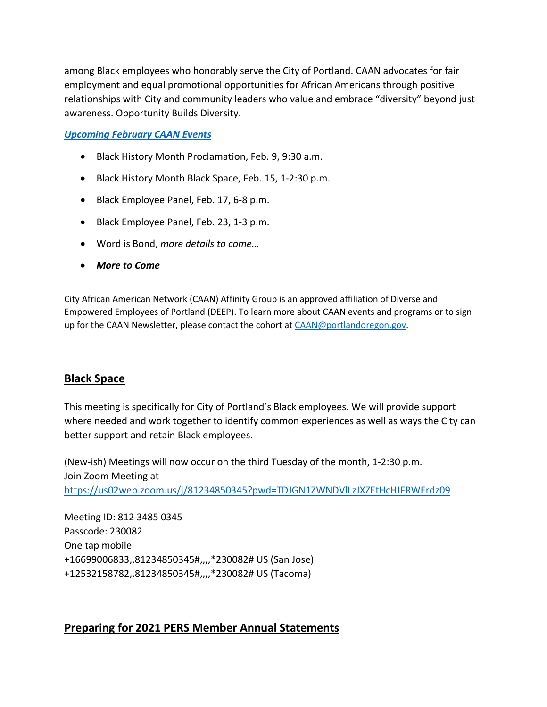among Black employees who honorably serve the City of Portland. CAAN advocates for fair employment and equal promotional opportunities for African Americans through positive relationships with City and community leaders who value and embrace "diversity" beyond just awareness. Opportunity Builds Diversity.

#### *[Upcoming February CAAN Events](https://www.portlandoregon.gov/index.cfm?&c=50902)*

- Black History Month Proclamation, Feb. 9, 9:30 a.m.
- Black History Month Black Space, Feb. 15, 1-2:30 p.m.
- Black Employee Panel, Feb. 17, 6-8 p.m.
- Black Employee Panel, Feb. 23, 1-3 p.m.
- Word is Bond, *more details to come…*
- *More to Come*

City African American Network (CAAN) Affinity Group is an approved affiliation of Diverse and Empowered Employees of Portland (DEEP). To learn more about CAAN events and programs or to sign up for the CAAN Newsletter, please contact the cohort at [CAAN@portlandoregon.gov.](mailto:CAAN@portlandoregon.gov)

# <span id="page-1-0"></span>**Black Space**

This meeting is specifically for City of Portland's Black employees. We will provide support where needed and work together to identify common experiences as well as ways the City can better support and retain Black employees.

(New-ish) Meetings will now occur on the third Tuesday of the month, 1-2:30 p.m. Join Zoom Meeting at <https://us02web.zoom.us/j/81234850345?pwd=TDJGN1ZWNDVlLzJXZEtHcHJFRWErdz09>

Meeting ID: 812 3485 0345 Passcode: 230082 One tap mobile +16699006833,,81234850345#,,,,\*230082# US (San Jose) +12532158782,,81234850345#,,,,\*230082# US (Tacoma)

# <span id="page-1-1"></span>**Preparing for 2021 PERS Member Annual Statements**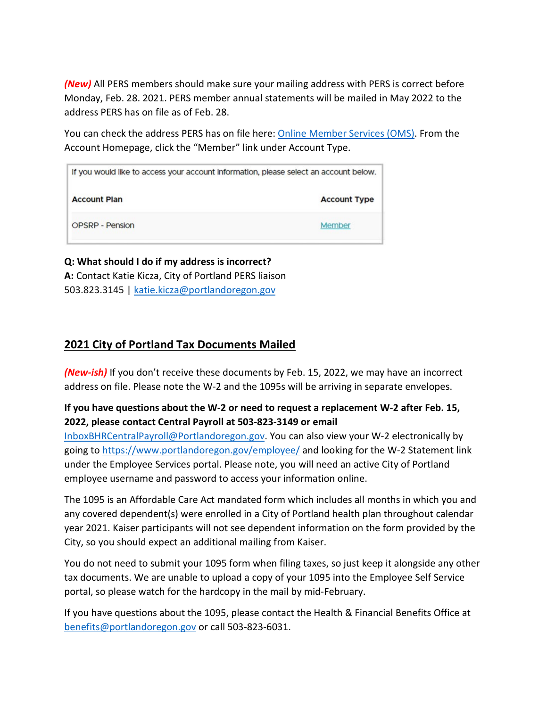*(New)* All PERS members should make sure your mailing address with PERS is correct before Monday, Feb. 28. 2021. PERS member annual statements will be mailed in May 2022 to the address PERS has on file as of Feb. 28.

You can check the address PERS has on file here: [Online Member Services \(OMS\).](https://orion.pers.state.or.us/SelfServiceOMS/viewPage?component=/loginForm.jsp) From the Account Homepage, click the "Member" link under Account Type.

| If you would like to access your account information, please select an account below. |                     |
|---------------------------------------------------------------------------------------|---------------------|
| <b>Account Plan</b>                                                                   | <b>Account Type</b> |
| <b>OPSRP - Pension</b>                                                                | Member              |

#### **Q: What should I do if my address is incorrect? A:** Contact Katie Kicza, City of Portland PERS liaison 503.823.3145 | [katie.kicza@portlandoregon.gov](mailto:katie.kicza@portlandoregon.gov)

# <span id="page-2-0"></span>**2021 City of Portland Tax Documents Mailed**

*(New-ish)* If you don't receive these documents by Feb. 15, 2022, we may have an incorrect address on file. Please note the W-2 and the 1095s will be arriving in separate envelopes.

# **If you have questions about the W-2 or need to request a replacement W-2 after Feb. 15, 2022, please contact Central Payroll at 503-823-3149 or email**

[InboxBHRCentralPayroll@Portlandoregon.gov.](mailto:InboxBHRCentralPayroll@Portlandoregon.gov) You can also view your W-2 electronically by going to<https://www.portlandoregon.gov/employee/> and looking for the W-2 Statement link under the Employee Services portal. Please note, you will need an active City of Portland employee username and password to access your information online.

The 1095 is an Affordable Care Act mandated form which includes all months in which you and any covered dependent(s) were enrolled in a City of Portland health plan throughout calendar year 2021. Kaiser participants will not see dependent information on the form provided by the City, so you should expect an additional mailing from Kaiser.

You do not need to submit your 1095 form when filing taxes, so just keep it alongside any other tax documents. We are unable to upload a copy of your 1095 into the Employee Self Service portal, so please watch for the hardcopy in the mail by mid-February.

If you have questions about the 1095, please contact the Health & Financial Benefits Office at [benefits@portlandoregon.gov](mailto:benefits@portlandoregon.gov) or call 503-823-6031.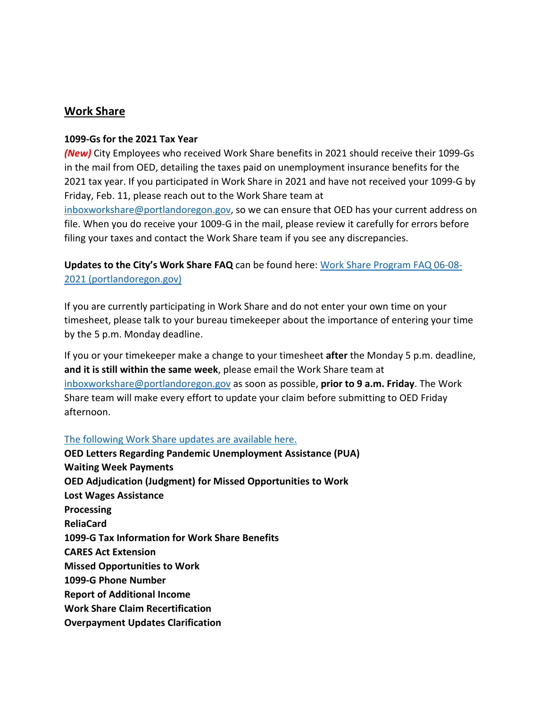#### <span id="page-3-0"></span>**Work Share**

#### **1099-Gs for the 2021 Tax Year**

*(New)* City Employees who received Work Share benefits in 2021 should receive their 1099-Gs in the mail from OED, detailing the taxes paid on unemployment insurance benefits for the 2021 tax year. If you participated in Work Share in 2021 and have not received your 1099-G by Friday, Feb. 11, please reach out to the Work Share team at [inboxworkshare@portlandoregon.gov,](mailto:inboxworkshare@portlandoregon.gov) so we can ensure that OED has your current address on file. When you do receive your 1009-G in the mail, please review it carefully for errors before filing your taxes and contact the Work Share team if you see any discrepancies.

**Updates to the City's Work Share FAQ** can be found here: [Work Share Program FAQ 06-08-](https://www.portlandoregon.gov/bhr/article/761976) [2021 \(portlandoregon.gov\)](https://www.portlandoregon.gov/bhr/article/761976)

If you are currently participating in Work Share and do not enter your own time on your timesheet, please talk to your bureau timekeeper about the importance of entering your time by the 5 p.m. Monday deadline.

If you or your timekeeper make a change to your timesheet **after** the Monday 5 p.m. deadline, **and it is still within the same week**, please email the Work Share team at [inboxworkshare@portlandoregon.gov](mailto:inboxworkshare@portlandoregon.gov) as soon as possible, **prior to 9 a.m. Friday**. The Work Share team will make every effort to update your claim before submitting to OED Friday afternoon.

#### [The following Work Share updates are available here.](https://www.portlandoregon.gov/bhr/article/796870)

**OED Letters Regarding Pandemic Unemployment Assistance (PUA) Waiting Week Payments OED Adjudication (Judgment) for Missed Opportunities to Work Lost Wages Assistance Processing ReliaCard 1099-G Tax Information for Work Share Benefits CARES Act Extension Missed Opportunities to Work 1099-G Phone Number Report of Additional Income Work Share Claim Recertification Overpayment Updates Clarification**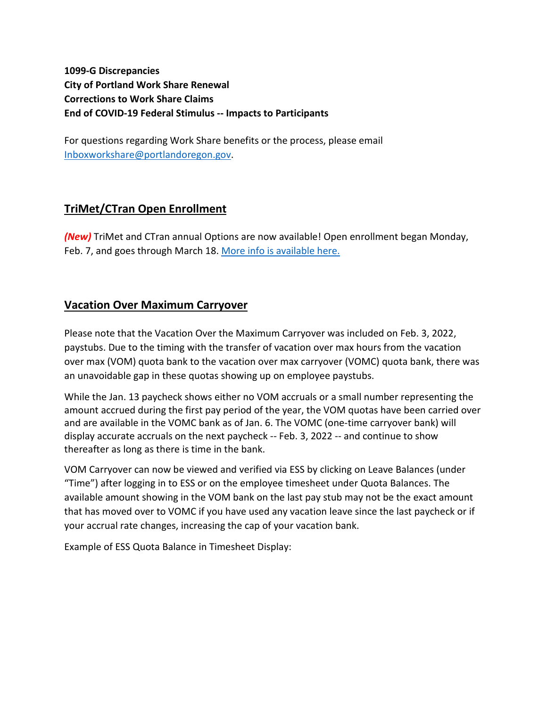**1099-G Discrepancies City of Portland Work Share Renewal Corrections to Work Share Claims End of COVID-19 Federal Stimulus -- Impacts to Participants**

For questions regarding Work Share benefits or the process, please email [Inboxworkshare@portlandoregon.gov.](mailto:Inboxworkshare@portlandoregon.gov)

# <span id="page-4-0"></span>**TriMet/CTran Open Enrollment**

*(New)* TriMet and CTran annual Options are now available! Open enrollment began Monday, Feb. 7, and goes through March 18[. More info is available here.](https://www.portlandoregon.gov/bhr/article/798631)

# <span id="page-4-1"></span>**Vacation Over Maximum Carryover**

Please note that the Vacation Over the Maximum Carryover was included on Feb. 3, 2022, paystubs. Due to the timing with the transfer of vacation over max hours from the vacation over max (VOM) quota bank to the vacation over max carryover (VOMC) quota bank, there was an unavoidable gap in these quotas showing up on employee paystubs.

While the Jan. 13 paycheck shows either no VOM accruals or a small number representing the amount accrued during the first pay period of the year, the VOM quotas have been carried over and are available in the VOMC bank as of Jan. 6. The VOMC (one-time carryover bank) will display accurate accruals on the next paycheck -- Feb. 3, 2022 -- and continue to show thereafter as long as there is time in the bank.

VOM Carryover can now be viewed and verified via ESS by clicking on Leave Balances (under "Time") after logging in to ESS or on the employee timesheet under Quota Balances. The available amount showing in the VOM bank on the last pay stub may not be the exact amount that has moved over to VOMC if you have used any vacation leave since the last paycheck or if your accrual rate changes, increasing the cap of your vacation bank.

Example of ESS Quota Balance in Timesheet Display: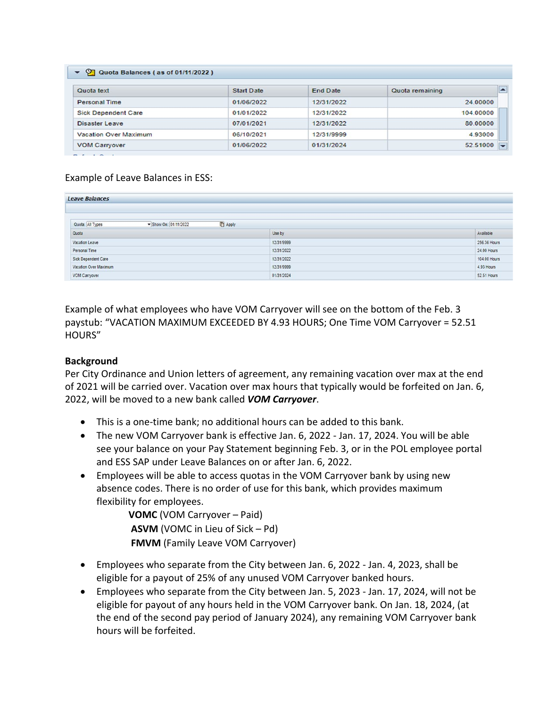| Quota text                   | <b>Start Date</b> | <b>End Date</b> | Quota remaining |
|------------------------------|-------------------|-----------------|-----------------|
| <b>Personal Time</b>         | 01/06/2022        | 12/31/2022      | 24,00000        |
| <b>Sick Dependent Care</b>   | 01/01/2022        | 12/31/2022      | 104.00000       |
| <b>Disaster Leave</b>        | 07/01/2021        | 12/31/2022      | 80,00000        |
| <b>Vacation Over Maximum</b> | 06/10/2021        | 12/31/9999      | 4.93000         |
| <b>VOM Carryover</b>         | 01/06/2022        | 01/31/2024      | 52.51000        |

#### Example of Leave Balances in ESS:

| <b>Leave Balances</b>                   |                |              |
|-----------------------------------------|----------------|--------------|
| Quota: All Types<br>Show On: 01/11/2022 | <b>D</b> Apply |              |
| Quota                                   | Use by         | Available    |
| Vacation Leave                          | 12/31/9999     | 256.36 Hours |
| Personal Time                           | 12/31/2022     | 24.00 Hours  |
| Sick Dependent Care                     | 12/31/2022     | 104.00 Hours |
| Vacation Over Maximum                   | 12/31/9999     | 4.93 Hours   |
| VOM Carryover                           | 01/31/2024     | 52.51 Hours  |

Example of what employees who have VOM Carryover will see on the bottom of the Feb. 3 paystub: "VACATION MAXIMUM EXCEEDED BY 4.93 HOURS; One Time VOM Carryover = 52.51 HOURS"

#### **Background**

Per City Ordinance and Union letters of agreement, any remaining vacation over max at the end of 2021 will be carried over. Vacation over max hours that typically would be forfeited on Jan. 6, 2022, will be moved to a new bank called *VOM Carryover*.

- This is a one-time bank; no additional hours can be added to this bank.
- The new VOM Carryover bank is effective Jan. 6, 2022 Jan. 17, 2024. You will be able see your balance on your Pay Statement beginning Feb. 3, or in the POL employee portal and ESS SAP under Leave Balances on or after Jan. 6, 2022.
- Employees will be able to access quotas in the VOM Carryover bank by using new absence codes. There is no order of use for this bank, which provides maximum flexibility for employees.

**VOMC** (VOM Carryover – Paid) **ASVM** (VOMC in Lieu of Sick – Pd) **FMVM** (Family Leave VOM Carryover)

- Employees who separate from the City between Jan. 6, 2022 Jan. 4, 2023, shall be eligible for a payout of 25% of any unused VOM Carryover banked hours.
- Employees who separate from the City between Jan. 5, 2023 Jan. 17, 2024, will not be eligible for payout of any hours held in the VOM Carryover bank. On Jan. 18, 2024, (at the end of the second pay period of January 2024), any remaining VOM Carryover bank hours will be forfeited.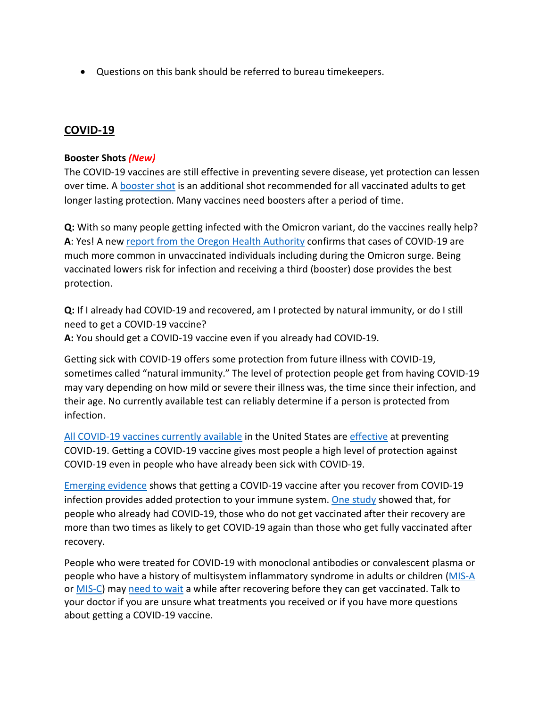• Questions on this bank should be referred to bureau timekeepers.

# <span id="page-6-0"></span>**COVID-19**

#### **Booster Shots** *(New)*

The COVID-19 vaccines are still effective in preventing severe disease, yet protection can lessen over time. A **booster shot** is an additional shot recommended for all vaccinated adults to get longer lasting protection. Many vaccines need boosters after a period of time.

**Q:** With so many people getting infected with the Omicron variant, do the vaccines really help? **A**: Yes! A new [report from the Oregon Health Authority](https://covidblog.oregon.gov/booster-shots-highlighted-in-new-breakthrough-case-report/?utm_medium=email&utm_source=govdelivery) confirms that cases of COVID-19 are much more common in unvaccinated individuals including during the Omicron surge. Being vaccinated lowers risk for infection and receiving a third (booster) dose provides the best protection.

**Q:** If I already had COVID-19 and recovered, am I protected by natural immunity, or do I still need to get a COVID-19 vaccine? **A:** You should get a COVID-19 vaccine even if you already had COVID-19.

Getting sick with COVID-19 offers some protection from future illness with COVID-19, sometimes called "natural immunity." The level of protection people get from having COVID-19 may vary depending on how mild or severe their illness was, the time since their infection, and their age. No currently available test can reliably determine if a person is protected from infection.

[All COVID-19 vaccines currently available](https://www.cdc.gov/coronavirus/2019-ncov/vaccines/different-vaccines.html) in the United States ar[e effective](https://www.cdc.gov/coronavirus/2019-ncov/vaccines/effectiveness/index.html) at preventing COVID-19. Getting a COVID-19 vaccine gives most people a high level of protection against COVID-19 even in people who have already been sick with COVID-19.

[Emerging evidence](https://www.cdc.gov/coronavirus/2019-ncov/science/science-briefs/vaccine-induced-immunity.html#anchor_1635540493225) shows that getting a COVID-19 vaccine after you recover from COVID-19 infection provides added protection to your immune system. [One study](https://www.cdc.gov/mmwr/volumes/70/wr/mm7032e1.htm?s_cid=mm7032e1_e&ACSTrackingID=USCDC_921-DM63289&ACSTrackingLabel=MMWR%20Early%20Release%20-%20Vol.%2070%2C%20August%206%2C%202021&deliveryName=USCDC_921-DM63289) showed that, for people who already had COVID-19, those who do not get vaccinated after their recovery are more than two times as likely to get COVID-19 again than those who get fully vaccinated after recovery.

People who were treated for COVID-19 with monoclonal antibodies or convalescent plasma or people who have a history of multisystem inflammatory syndrome in adults or children [\(MIS-A](https://www.cdc.gov/mis/mis-a.html) or [MIS-C\)](https://www.cdc.gov/mis/index.html) may [need to wait](https://www.cdc.gov/vaccines/covid-19/clinical-considerations/covid-19-vaccines-us.html#CoV-19-vaccination) a while after recovering before they can get vaccinated. Talk to your doctor if you are unsure what treatments you received or if you have more questions about getting a COVID-19 vaccine.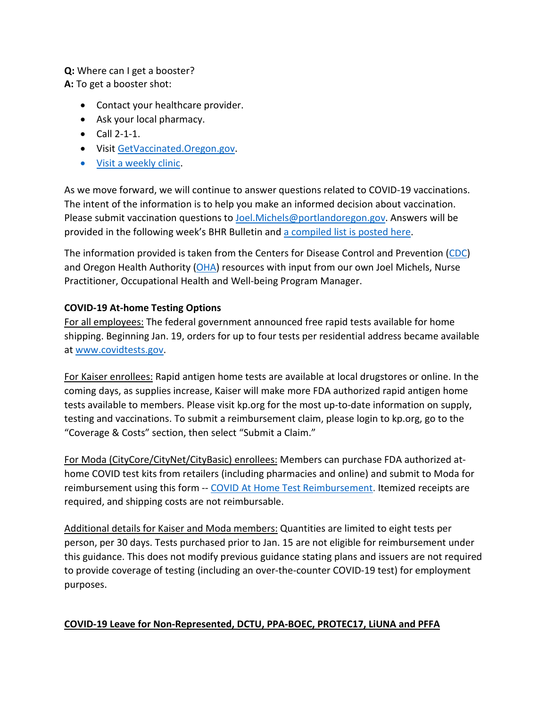# **Q:** Where can I get a booster?

**A:** To get a booster shot:

- Contact your healthcare provider.
- Ask your local pharmacy.
- Call 2-1-1.
- Visi[t GetVaccinated.Oregon.gov.](https://getvaccinated.oregon.gov/#/)
- [Visit a weekly clinic.](https://www.multco.us/novel-coronavirus-covid-19/upcoming-covid-19-vaccination-clinics)

As we move forward, we will continue to answer questions related to COVID-19 vaccinations. The intent of the information is to help you make an informed decision about vaccination. Please submit vaccination questions to [Joel.Michels@portlandoregon.gov.](mailto:Joel.Michels@portlandoregon.gov) Answers will be provided in the following week's BHR Bulletin an[d a compiled list is posted here.](https://www.portlandoregon.gov/bhr/article/797240)

The information provided is taken from the Centers for Disease Control and Prevention [\(CDC\)](https://www.cdc.gov/coronavirus/2019-ncov/vaccines/index.html) and Oregon Health Authority [\(OHA\)](https://covidvaccine.oregon.gov/) resources with input from our own Joel Michels, Nurse Practitioner, Occupational Health and Well-being Program Manager.

#### **COVID-19 At-home Testing Options**

For all employees: The federal government announced free rapid tests available for home shipping. Beginning Jan. 19, orders for up to four tests per residential address became available at [www.covidtests.gov.](http://www.covidtests.gov/)

For Kaiser enrollees: Rapid antigen home tests are available at local drugstores or online. In the coming days, as supplies increase, Kaiser will make more FDA authorized rapid antigen home tests available to members. Please visit kp.org for the most up-to-date information on supply, testing and vaccinations. To submit a reimbursement claim, please login to kp.org, go to the "Coverage & Costs" section, then select "Submit a Claim."

For Moda (CityCore/CityNet/CityBasic) enrollees: Members can purchase FDA authorized athome COVID test kits from retailers (including pharmacies and online) and submit to Moda for reimbursement using this form -- [COVID At Home Test Reimbursement.](https://www.modahealth.com/-/media/modahealth/site/shared/forms/ModaHealth-OTC-COVID-19-AtHomeTest-Medical-MemberReimbursementForm.pdf) Itemized receipts are required, and shipping costs are not reimbursable.

Additional details for Kaiser and Moda members: Quantities are limited to eight tests per person, per 30 days. Tests purchased prior to Jan. 15 are not eligible for reimbursement under this guidance. This does not modify previous guidance stating plans and issuers are not required to provide coverage of testing (including an over-the-counter COVID-19 test) for employment purposes.

#### **COVID-19 Leave for Non-Represented, DCTU, PPA-BOEC, PROTEC17, LiUNA and PFFA**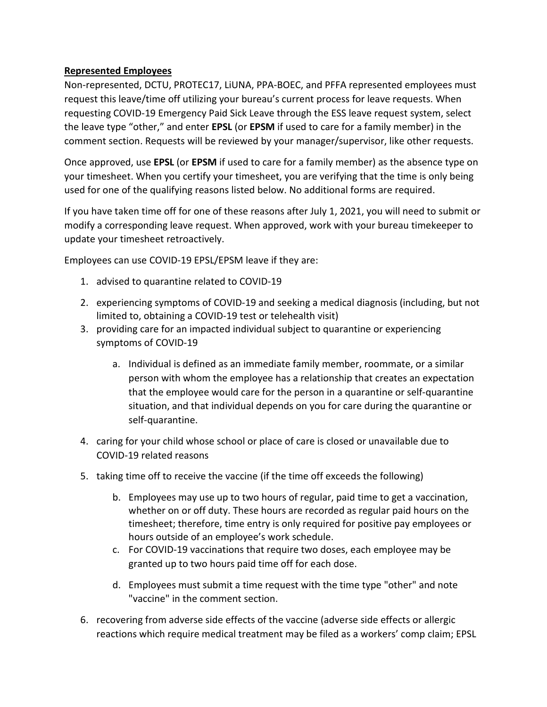#### **Represented Employees**

Non-represented, DCTU, PROTEC17, LiUNA, PPA-BOEC, and PFFA represented employees must request this leave/time off utilizing your bureau's current process for leave requests. When requesting COVID-19 Emergency Paid Sick Leave through the ESS leave request system, select the leave type "other," and enter **EPSL** (or **EPSM** if used to care for a family member) in the comment section. Requests will be reviewed by your manager/supervisor, like other requests.

Once approved, use **EPSL** (or **EPSM** if used to care for a family member) as the absence type on your timesheet. When you certify your timesheet, you are verifying that the time is only being used for one of the qualifying reasons listed below. No additional forms are required.

If you have taken time off for one of these reasons after July 1, 2021, you will need to submit or modify a corresponding leave request. When approved, work with your bureau timekeeper to update your timesheet retroactively.

Employees can use COVID-19 EPSL/EPSM leave if they are:

- 1. advised to quarantine related to COVID-19
- 2. experiencing symptoms of COVID-19 and seeking a medical diagnosis (including, but not limited to, obtaining a COVID-19 test or telehealth visit)
- 3. providing care for an impacted individual subject to quarantine or experiencing symptoms of COVID-19
	- a. Individual is defined as an immediate family member, roommate, or a similar person with whom the employee has a relationship that creates an expectation that the employee would care for the person in a quarantine or self-quarantine situation, and that individual depends on you for care during the quarantine or self-quarantine.
- 4. caring for your child whose school or place of care is closed or unavailable due to COVID-19 related reasons
- 5. taking time off to receive the vaccine (if the time off exceeds the following)
	- b. Employees may use up to two hours of regular, paid time to get a vaccination, whether on or off duty. These hours are recorded as regular paid hours on the timesheet; therefore, time entry is only required for positive pay employees or hours outside of an employee's work schedule.
	- c. For COVID-19 vaccinations that require two doses, each employee may be granted up to two hours paid time off for each dose.
	- d. Employees must submit a time request with the time type "other" and note "vaccine" in the comment section.
- 6. recovering from adverse side effects of the vaccine (adverse side effects or allergic reactions which require medical treatment may be filed as a workers' comp claim; EPSL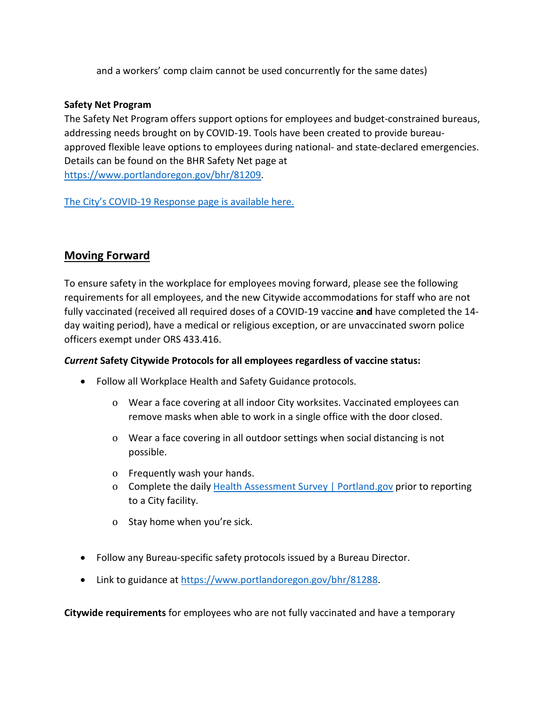and a workers' comp claim cannot be used concurrently for the same dates)

#### **Safety Net Program**

The Safety Net Program offers support options for employees and budget-constrained bureaus, addressing needs brought on by COVID-19. Tools have been created to provide bureauapproved flexible leave options to employees during national- and state-declared emergencies. Details can be found on the BHR Safety Net page at [https://www.portlandoregon.gov/bhr/81209.](https://www.portlandoregon.gov/bhr/81209)

[The City's COVID-19 Response page is available here.](https://www.portlandoregon.gov/bhr/index.cfm?&c=81055)

# <span id="page-9-0"></span>**Moving Forward**

To ensure safety in the workplace for employees moving forward, please see the following requirements for all employees, and the new Citywide accommodations for staff who are not fully vaccinated (received all required doses of a COVID-19 vaccine **and** have completed the 14 day waiting period), have a medical or religious exception, or are unvaccinated sworn police officers exempt under ORS 433.416.

#### *Current* **Safety Citywide Protocols for all employees regardless of vaccine status:**

- Follow all Workplace Health and Safety Guidance protocols.
	- o Wear a face covering at all indoor City worksites. Vaccinated employees can remove masks when able to work in a single office with the door closed.
	- o Wear a face covering in all outdoor settings when social distancing is not possible.
	- o Frequently wash your hands.
	- o Complete the daily [Health Assessment Survey | Portland.gov](https://www.portland.gov/health-assessment) prior to reporting to a City facility.
	- o Stay home when you're sick.
- Follow any Bureau-specific safety protocols issued by a Bureau Director.
- Link to guidance at [https://www.portlandoregon.gov/bhr/81288.](https://www.portlandoregon.gov/bhr/81288)

**Citywide requirements** for employees who are not fully vaccinated and have a temporary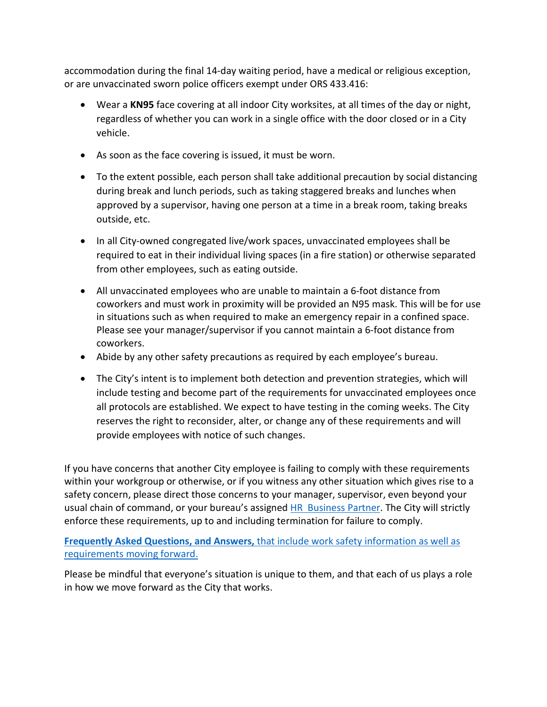accommodation during the final 14-day waiting period, have a medical or religious exception, or are unvaccinated sworn police officers exempt under ORS 433.416:

- Wear a **KN95** face covering at all indoor City worksites, at all times of the day or night, regardless of whether you can work in a single office with the door closed or in a City vehicle.
- As soon as the face covering is issued, it must be worn.
- To the extent possible, each person shall take additional precaution by social distancing during break and lunch periods, such as taking staggered breaks and lunches when approved by a supervisor, having one person at a time in a break room, taking breaks outside, etc.
- In all City-owned congregated live/work spaces, unvaccinated employees shall be required to eat in their individual living spaces (in a fire station) or otherwise separated from other employees, such as eating outside.
- All unvaccinated employees who are unable to maintain a 6-foot distance from coworkers and must work in proximity will be provided an N95 mask. This will be for use in situations such as when required to make an emergency repair in a confined space. Please see your manager/supervisor if you cannot maintain a 6-foot distance from coworkers.
- Abide by any other safety precautions as required by each employee's bureau.
- The City's intent is to implement both detection and prevention strategies, which will include testing and become part of the requirements for unvaccinated employees once all protocols are established. We expect to have testing in the coming weeks. The City reserves the right to reconsider, alter, or change any of these requirements and will provide employees with notice of such changes.

If you have concerns that another City employee is failing to comply with these requirements within your workgroup or otherwise, or if you witness any other situation which gives rise to a safety concern, please direct those concerns to your manager, supervisor, even beyond your usual chain of command, or your bureau's assigned [HR Business Partner.](https://www.portlandoregon.gov/bhr/article/430513) The City will strictly enforce these requirements, up to and including termination for failure to comply.

**Frequently Asked Questions, and Answers,** [that include work safety information as well as](https://www.portland.gov/bhr/covid-19-safety-info-and-requirements-faq)  [requirements moving forward.](https://www.portland.gov/bhr/covid-19-safety-info-and-requirements-faq)

Please be mindful that everyone's situation is unique to them, and that each of us plays a role in how we move forward as the City that works.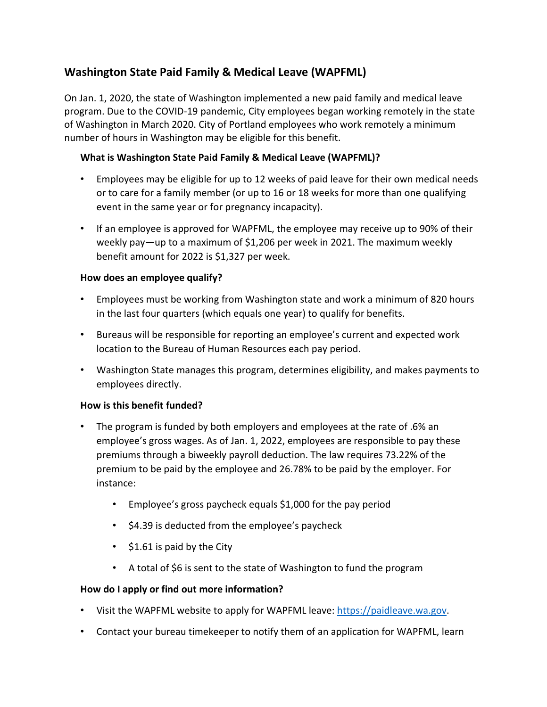# <span id="page-11-0"></span>**Washington State Paid Family & Medical Leave (WAPFML)**

On Jan. 1, 2020, the state of Washington implemented a new paid family and medical leave program. Due to the COVID-19 pandemic, City employees began working remotely in the state of Washington in March 2020. City of Portland employees who work remotely a minimum number of hours in Washington may be eligible for this benefit.

#### **What is Washington State Paid Family & Medical Leave (WAPFML)?**

- Employees may be eligible for up to 12 weeks of paid leave for their own medical needs or to care for a family member (or up to 16 or 18 weeks for more than one qualifying event in the same year or for pregnancy incapacity).
- If an employee is approved for WAPFML, the employee may receive up to 90% of their weekly pay—up to a maximum of \$1,206 per week in 2021. The maximum weekly benefit amount for 2022 is \$1,327 per week.

#### **How does an employee qualify?**

- Employees must be working from Washington state and work a minimum of 820 hours in the last four quarters (which equals one year) to qualify for benefits.
- Bureaus will be responsible for reporting an employee's current and expected work location to the Bureau of Human Resources each pay period.
- Washington State manages this program, determines eligibility, and makes payments to employees directly.

#### **How is this benefit funded?**

- The program is funded by both employers and employees at the rate of .6% an employee's gross wages. As of Jan. 1, 2022, employees are responsible to pay these premiums through a biweekly payroll deduction. The law requires 73.22% of the premium to be paid by the employee and 26.78% to be paid by the employer. For instance:
	- Employee's gross paycheck equals \$1,000 for the pay period
	- \$4.39 is deducted from the employee's paycheck
	- \$1.61 is paid by the City
	- A total of \$6 is sent to the state of Washington to fund the program

#### **How do I apply or find out more information?**

- Visit the WAPFML website to apply for WAPFML leave: [https://paidleave.wa.gov.](https://paidleave.wa.gov/)
- Contact your bureau timekeeper to notify them of an application for WAPFML, learn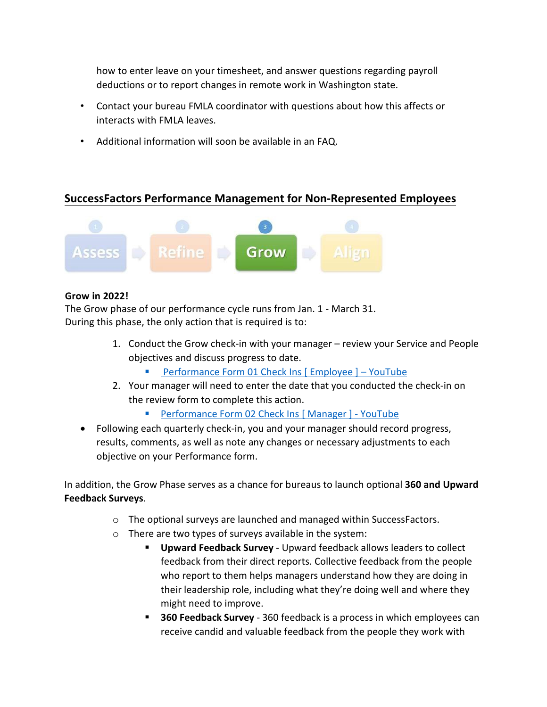how to enter leave on your timesheet, and answer questions regarding payroll deductions or to report changes in remote work in Washington state.

- Contact your bureau FMLA coordinator with questions about how this affects or interacts with FMLA leaves.
- Additional information will soon be available in an FAQ.

# <span id="page-12-0"></span>**SuccessFactors Performance Management for Non-Represented Employees**



#### **Grow in 2022!**

The Grow phase of our performance cycle runs from Jan. 1 - March 31. During this phase, the only action that is required is to:

- 1. Conduct the Grow check-in with your manager review your Service and People objectives and discuss progress to date.
	- [Performance Form 01 Check Ins \[ Employee \] YouTube](https://www.youtube.com/watch?v=jsjxScZqKqU)
- 2. Your manager will need to enter the date that you conducted the check-in on the review form to complete this action.
	- [Performance Form 02 Check Ins \[ Manager \] YouTube](https://www.youtube.com/watch?v=Knt9VreiIYU)
- Following each quarterly check-in, you and your manager should record progress, results, comments, as well as note any changes or necessary adjustments to each objective on your Performance form.

In addition, the Grow Phase serves as a chance for bureaus to launch optional **360 and Upward Feedback Surveys**.

- o The optional surveys are launched and managed within SuccessFactors.
- o There are two types of surveys available in the system:
	- **Upward Feedback Survey** Upward feedback allows leaders to collect feedback from their direct reports. Collective feedback from the people who report to them helps managers understand how they are doing in their leadership role, including what they're doing well and where they might need to improve.
	- **360 Feedback Survey** 360 feedback is a process in which employees can receive candid and valuable feedback from the people they work with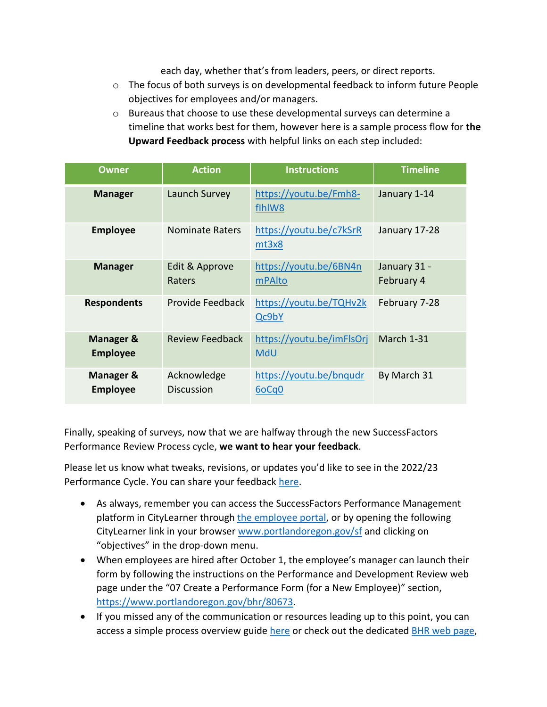each day, whether that's from leaders, peers, or direct reports.

- $\circ$  The focus of both surveys is on developmental feedback to inform future People objectives for employees and/or managers.
- o Bureaus that choose to use these developmental surveys can determine a timeline that works best for them, however here is a sample process flow for **the Upward Feedback process** with helpful links on each step included:

| <b>Owner</b>                            | <b>Action</b>                    | <b>Instructions</b>              | <b>Timeline</b>            |
|-----------------------------------------|----------------------------------|----------------------------------|----------------------------|
| <b>Manager</b>                          | Launch Survey                    | https://youtu.be/Fmh8-<br>flhlW8 | January 1-14               |
| <b>Employee</b>                         | <b>Nominate Raters</b>           | https://youtu.be/c7kSrR<br>mt3x8 | January 17-28              |
| <b>Manager</b>                          | Edit & Approve<br>Raters         | https://youtu.be/6BN4n<br>mPAlto | January 31 -<br>February 4 |
| <b>Respondents</b>                      | Provide Feedback                 | https://youtu.be/TQHv2k<br>Qc9bY | February 7-28              |
| <b>Manager &amp;</b><br><b>Employee</b> | <b>Review Feedback</b>           | https://youtu.be/imFlsOrj<br>MdU | March 1-31                 |
| Manager &<br><b>Employee</b>            | Acknowledge<br><b>Discussion</b> | https://youtu.be/bnqudr<br>6oCq0 | By March 31                |

Finally, speaking of surveys, now that we are halfway through the new SuccessFactors Performance Review Process cycle, **we want to hear your feedback**.

Please let us know what tweaks, revisions, or updates you'd like to see in the 2022/23 Performance Cycle. You can share your feedback [here.](https://forms.gle/74cXX7DKyu5qDiVr9)

- As always, remember you can access the SuccessFactors Performance Management platform in CityLearner through [the employee portal,](https://www.portlandoregon.gov/employee/index.cfm?) or by opening the following CityLearner link in your browser [www.portlandoregon.gov/sf](http://www.portlandoregon.gov/sf) and clicking on "objectives" in the drop-down menu.
- When employees are hired after October 1, the employee's manager can launch their form by following the instructions on the Performance and Development Review web page under the "07 Create a Performance Form (for a New Employee)" section, [https://www.portlandoregon.gov/bhr/80673.](https://www.portlandoregon.gov/bhr/80673)
- If you missed any of the communication or resources leading up to this point, you can access a simple process overview guide [here](https://www.portlandoregon.gov/bhr/article/758125) or check out the dedicated [BHR web page,](https://www.portlandoregon.gov/bhr/index.cfm?&c=80673)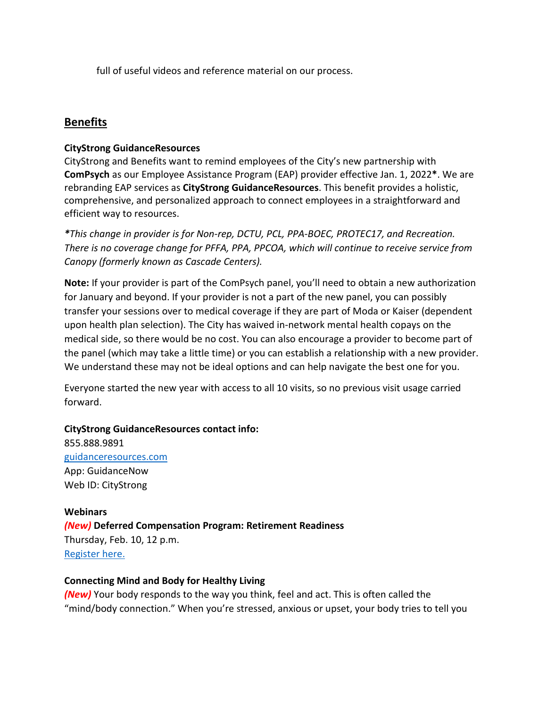full of useful videos and reference material on our process.

# <span id="page-14-0"></span>**Benefits**

#### **CityStrong GuidanceResources**

CityStrong and Benefits want to remind employees of the City's new partnership with **ComPsych** as our Employee Assistance Program (EAP) provider effective Jan. 1, 2022**\***. We are rebranding EAP services as **CityStrong GuidanceResources**. This benefit provides a holistic, comprehensive, and personalized approach to connect employees in a straightforward and efficient way to resources.

*\*This change in provider is for Non-rep, DCTU, PCL, PPA-BOEC, PROTEC17, and Recreation. There is no coverage change for PFFA, PPA, PPCOA, which will continue to receive service from Canopy (formerly known as Cascade Centers).*

**Note:** If your provider is part of the ComPsych panel, you'll need to obtain a new authorization for January and beyond. If your provider is not a part of the new panel, you can possibly transfer your sessions over to medical coverage if they are part of Moda or Kaiser (dependent upon health plan selection). The City has waived in-network mental health copays on the medical side, so there would be no cost. You can also encourage a provider to become part of the panel (which may take a little time) or you can establish a relationship with a new provider. We understand these may not be ideal options and can help navigate the best one for you.

Everyone started the new year with access to all 10 visits, so no previous visit usage carried forward.

**CityStrong GuidanceResources contact info:** 855.888.9891 [guidanceresources.com](https://www.guidanceresources.com/groWeb/login/login.xhtml) App: GuidanceNow Web ID: CityStrong

**Webinars** *(New)* **Deferred Compensation Program: Retirement Readiness** Thursday, Feb. 10, 12 p.m. [Register here.](https://voyafa.zoom.us/webinar/register/WN_4_P7SukpRta9z0Omd9hJ6A)

#### **Connecting Mind and Body for Healthy Living**

*(New)* Your body responds to the way you think, feel and act. This is often called the "mind/body connection." When you're stressed, anxious or upset, your body tries to tell you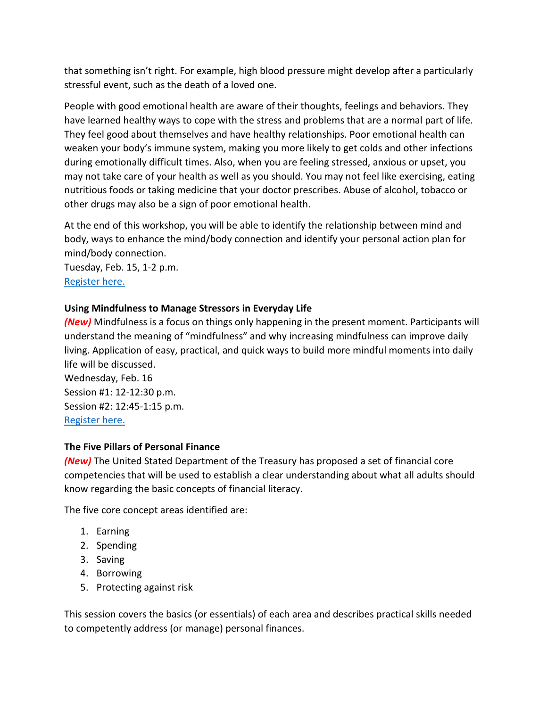that something isn't right. For example, high blood pressure might develop after a particularly stressful event, such as the death of a loved one.

People with good emotional health are aware of their thoughts, feelings and behaviors. They have learned healthy ways to cope with the stress and problems that are a normal part of life. They feel good about themselves and have healthy relationships. Poor emotional health can weaken your body's immune system, making you more likely to get colds and other infections during emotionally difficult times. Also, when you are feeling stressed, anxious or upset, you may not take care of your health as well as you should. You may not feel like exercising, eating nutritious foods or taking medicine that your doctor prescribes. Abuse of alcohol, tobacco or other drugs may also be a sign of poor emotional health.

At the end of this workshop, you will be able to identify the relationship between mind and body, ways to enhance the mind/body connection and identify your personal action plan for mind/body connection.

Tuesday, Feb. 15, 1-2 p.m. [Register here.](https://us06web.zoom.us/webinar/register/WN_bCvhn1zVQS2gYWPkz6Kqcg)

#### **Using Mindfulness to Manage Stressors in Everyday Life**

*(New)* Mindfulness is a focus on things only happening in the present moment. Participants will understand the meaning of "mindfulness" and why increasing mindfulness can improve daily living. Application of easy, practical, and quick ways to build more mindful moments into daily life will be discussed.

Wednesday, Feb. 16 Session #1: 12-12:30 p.m. Session #2: 12:45-1:15 p.m. [Register here.](https://event.on24.com/eventRegistration/EventLobbyServletV2?target=reg20V2.jsp&eventid=3578141&sessionid=1&key=B75AC9110AA387FA1FCE939787A3AF4F&groupId=3281471&sourcepage=register)

#### **The Five Pillars of Personal Finance**

*(New)* The United Stated Department of the Treasury has proposed a set of financial core competencies that will be used to establish a clear understanding about what all adults should know regarding the basic concepts of financial literacy.

The five core concept areas identified are:

- 1. Earning
- 2. Spending
- 3. Saving
- 4. Borrowing
- 5. Protecting against risk

This session covers the basics (or essentials) of each area and describes practical skills needed to competently address (or manage) personal finances.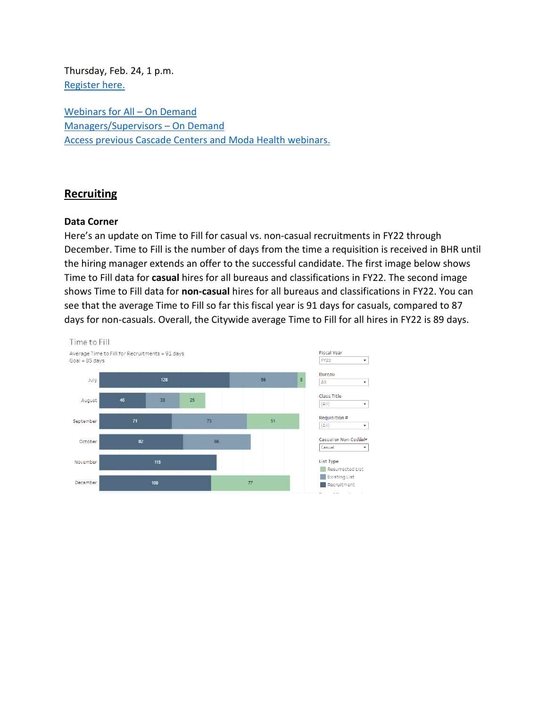Thursday, Feb. 24, 1 p.m. [Register here.](https://us06web.zoom.us/webinar/register/WN_EW_ubhCWQwGDs6r2LqKXww)

[Webinars for All – On Demand](https://cascade-gateway.lifeadvantages.net/module.php/core/loginuserpass.php?AuthState=_3ce03a5425cee12e62d0304fc638e4faf53e14890d%3Ahttps%3A%2F%2Fcascade-gateway.lifeadvantages.net%2Fsaml2%2Fidp%2FSSOService.php%3Fspentityid%3Dhttps%253A%252F%252Fsaml-01.personaladvantage.com%252Fsp%26cookieTime%3D1625593352%26RelayState%3Dss%253Amem%253A1d8e1b0ec14601a8153ab04497bc5fd0f0d50a5926308558f40d35a41079c199) [Managers/Supervisors – On Demand](https://www.portlandoregon.gov/bhr/article/750308) [Access previous Cascade Centers and Moda Health webinars.](https://www.portlandoregon.gov/bhr/index.cfm?&c=79368)

# <span id="page-16-0"></span>**Recruiting**

#### **Data Corner**

Here's an update on Time to Fill for casual vs. non-casual recruitments in FY22 through December. Time to Fill is the number of days from the time a requisition is received in BHR until the hiring manager extends an offer to the successful candidate. The first image below shows Time to Fill data for **casual** hires for all bureaus and classifications in FY22. The second image shows Time to Fill data for **non-casual** hires for all bureaus and classifications in FY22. You can see that the average Time to Fill so far this fiscal year is 91 days for casuals, compared to 87 days for non-casuals. Overall, the Citywide average Time to Fill for all hires in FY22 is 89 days.

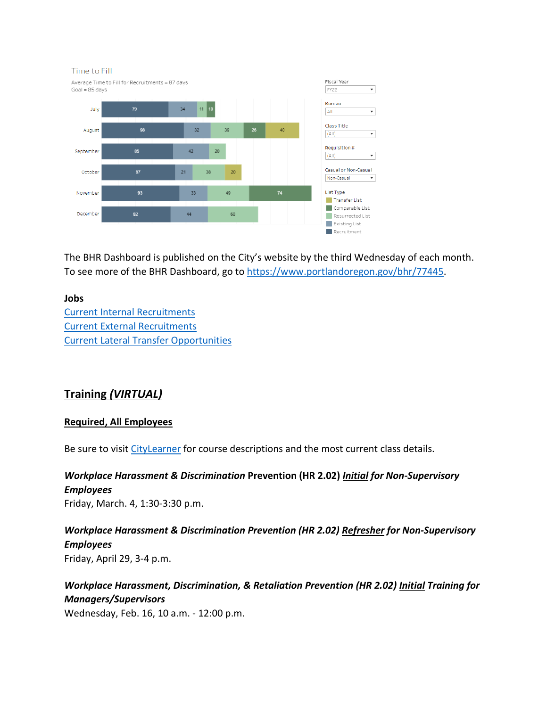

The BHR Dashboard is published on the City's website by the third Wednesday of each month. To see more of the BHR Dashboard, go to [https://www.portlandoregon.gov/bhr/77445.](https://www.portlandoregon.gov/bhr/77445)

#### **Jobs**

[Current Internal Recruitments](https://www.governmentjobs.com/careers/portlandor/promotionaljobs) [Current External Recruitments](https://www.governmentjobs.com/careers/portlandor?) [Current Lateral Transfer Opportunities](https://www.governmentjobs.com/careers/portlandor/transferjobs)

# <span id="page-17-0"></span>**Training** *(VIRTUAL)*

#### **Required, All Employees**

Be sure to visit [CityLearner](https://www.portlandoregon.gov/sf) for course descriptions and the most current class details.

*Workplace Harassment & Discrimination* **Prevention (HR 2.02)** *Initial for Non-Supervisory Employees* Friday, March. 4, 1:30-3:30 p.m.

*Workplace Harassment & Discrimination Prevention (HR 2.02) Refresher for Non-Supervisory Employees* Friday, April 29, 3-4 p.m.

*Workplace Harassment, Discrimination, & Retaliation Prevention (HR 2.02) Initial Training for Managers/Supervisors* 

Wednesday, Feb. 16, 10 a.m. - 12:00 p.m.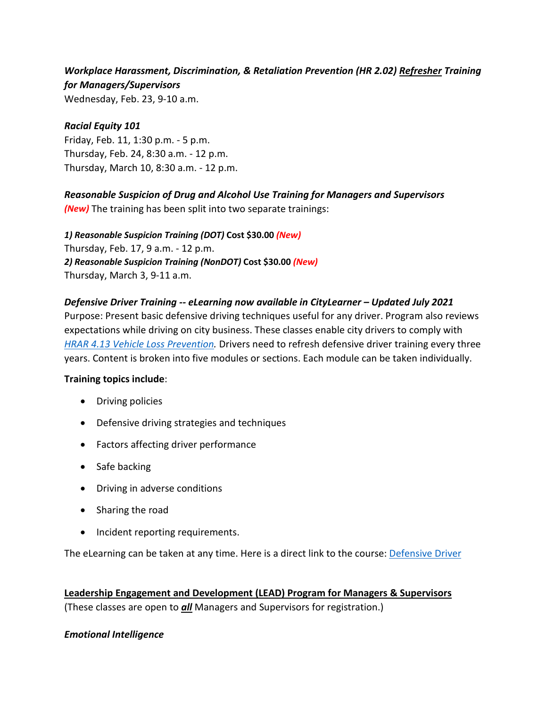# *Workplace Harassment, Discrimination, & Retaliation Prevention (HR 2.02) Refresher Training for Managers/Supervisors*

Wednesday, Feb. 23, 9-10 a.m.

#### *Racial Equity 101*

Friday, Feb. 11, 1:30 p.m. - 5 p.m. Thursday, Feb. 24, 8:30 a.m. - 12 p.m. Thursday, March 10, 8:30 a.m. - 12 p.m.

# *Reasonable Suspicion of Drug and Alcohol Use Training for Managers and Supervisors*

*(New)* The training has been split into two separate trainings:

*1) Reasonable Suspicion Training (DOT)* **Cost \$30.00** *(New)* Thursday, Feb. 17, 9 a.m. - 12 p.m. *2) Reasonable Suspicion Training (NonDOT)* **Cost \$30.00** *(New)* Thursday, March 3, 9-11 a.m.

#### *Defensive Driver Training -- eLearning now available in CityLearner – Updated July 2021*

Purpose: Present basic defensive driving techniques useful for any driver. Program also reviews expectations while driving on city business. These classes enable city drivers to comply with *[HRAR 4.13 Vehicle Loss Prevention.](http://www.portlandoregon.gov/?mode=search&search_action=SearchResults&top_category_tree_id=25777&filter_category_tree_id=25777&search_category_tree_id=25777&search_words=HRAR+4.13+Vehicle+Loss+Prevention&submit=Search)* Drivers need to refresh defensive driver training every three years. Content is broken into five modules or sections. Each module can be taken individually.

#### **Training topics include**:

- Driving policies
- Defensive driving strategies and techniques
- Factors affecting driver performance
- Safe backing
- Driving in adverse conditions
- Sharing the road
- Incident reporting requirements.

The eLearning can be taken at any time. Here is a direct link to the course: **Defensive Driver** 

**Leadership Engagement and Development (LEAD) Program for Managers & Supervisors** (These classes are open to *all* Managers and Supervisors for registration.)

#### *Emotional Intelligence*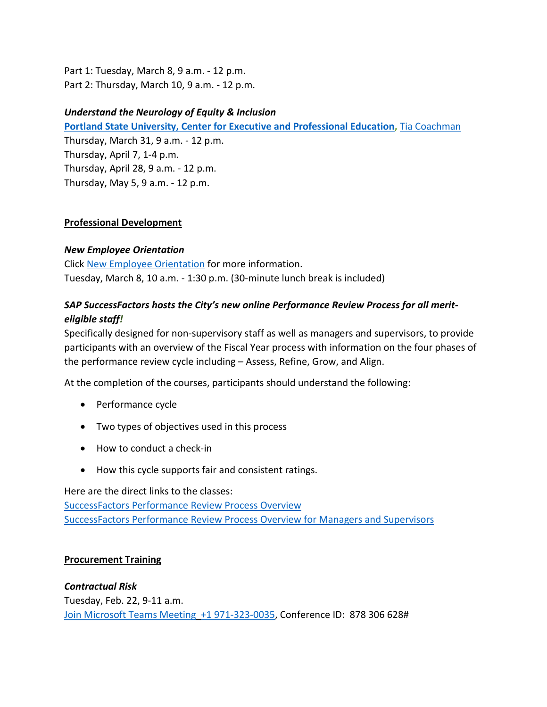Part 1: Tuesday, March 8, 9 a.m. - 12 p.m. Part 2: Thursday, March 10, 9 a.m. - 12 p.m.

#### *Understand the Neurology of Equity & Inclusion*

**[Portland State University, Center for Executive and Professional Education,](https://www.pdx.edu/professional-education/)** [Tia Coachman](https://www.pdx.edu/professional-education/profile/tia-coachman)

Thursday, March 31, 9 a.m. - 12 p.m. Thursday, April 7, 1-4 p.m. Thursday, April 28, 9 a.m. - 12 p.m. Thursday, May 5, 9 a.m. - 12 p.m.

#### **Professional Development**

#### *New Employee Orientation*

Click [New Employee Orientation](https://www.portlandoregon.gov/bhr/77721) for more information. Tuesday, March 8, 10 a.m. - 1:30 p.m. (30-minute lunch break is included)

# *SAP SuccessFactors hosts the City's new online Performance Review Process for all meriteligible staff!*

Specifically designed for non-supervisory staff as well as managers and supervisors, to provide participants with an overview of the Fiscal Year process with information on the four phases of the performance review cycle including – Assess, Refine, Grow, and Align.

At the completion of the courses, participants should understand the following:

- Performance cycle
- Two types of objectives used in this process
- How to conduct a check-in
- How this cycle supports fair and consistent ratings.

Here are the direct links to the classes: [SuccessFactors Performance Review Process Overview](https://cityofport.plateau.com/learning/user/common/viewItemDetails.do?OWASP_CSRFTOKEN=DU90-LX7U-MJFA-R3RR-74UK-2I97-WO9L-P1RW&componentID=29037&componentTypeID=ELRN&fromSF=Y&revisionDate=1621295700000&menuGroup=Learning&menuItem=Cur&fromDeepLink=true&hideItemDetailsBackLink=true) [SuccessFactors Performance Review Process Overview for Managers and Supervisors](https://cityofport.plateau.com/learning/user/common/viewItemDetails.do?OWASP_CSRFTOKEN=52B6-NP4F-RXCB-ZUY3-124U-DEBZ-IMIS-A678&componentID=29040&componentTypeID=ELRN&fromSF=Y&revisionDate=1621298220000&menuGroup=Learning&menuItem=Cur&fromDeepLink=true&hideItemDetailsBackLink=true)

#### **Procurement Training**

*Contractual Risk* Tuesday, Feb. 22, 9-11 a.m. [Join Microsoft Teams Meeting](https://teams.microsoft.com/l/meetup-join/19%3ameeting_ZjhkNmE5Y2EtODgyZS00NGQ4LTkxZGEtMDY1ZTE4YzdlYmZh%40thread.v2/0?context=%7b%22Tid%22%3a%22636d7808-73c9-41a7-97aa-8c4733642141%22%2c%22Oid%22%3a%2286b2ae6e-2fe6-44ca-9974-4b60b2e2cd99%22%7d) [+1 971-323-0035,](tel:+19713230035,,878306628) Conference ID: 878 306 628#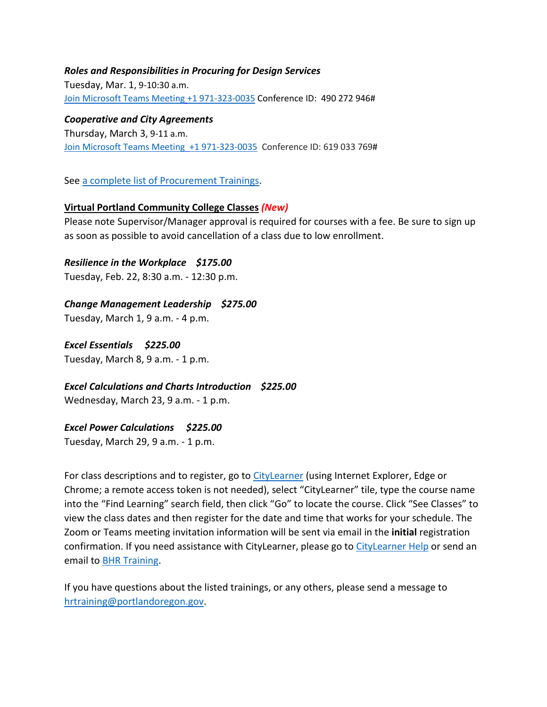#### *Roles and Responsibilities in Procuring for Design Services*

Tuesday, Mar. 1, 9-10:30 a.m. [Join Microsoft Teams Meeting](https://teams.microsoft.com/l/meetup-join/19%3ameeting_MzBmYjM1ZTMtYmNhNy00OTAyLWE4MjgtOTZmZGNiZWYwNzU2%40thread.v2/0?context=%7b%22Tid%22%3a%22636d7808-73c9-41a7-97aa-8c4733642141%22%2c%22Oid%22%3a%2286b2ae6e-2fe6-44ca-9974-4b60b2e2cd99%22%7d) [+1 971-323-0035](tel:+19713230035,,490272946) Conference ID: 490 272 946#

*Cooperative and City Agreements*  Thursday, March 3, 9-11 a.m. [Join Microsoft Teams Meeting](https://teams.microsoft.com/l/meetup-join/19%3ameeting_YTUwYjg0ODEtMTZiMS00ZmRlLThjODctZDE5NDdkNzg1ZTdh%40thread.v2/0?context=%7b%22Tid%22%3a%22636d7808-73c9-41a7-97aa-8c4733642141%22%2c%22Oid%22%3a%2286b2ae6e-2fe6-44ca-9974-4b60b2e2cd99%22%7d) [+1 971-323-0035](tel:+19713230035,,619033769) Conference ID: 619 033 769#

See [a complete list of Procurement Trainings.](https://www.portlandoregon.gov/brfs/article/780678)

#### **Virtual Portland Community College Classes** *(New)*

Please note Supervisor/Manager approval is required for courses with a fee. Be sure to sign up as soon as possible to avoid cancellation of a class due to low enrollment.

#### *Resilience in the Workplace \$175.00*

Tuesday, Feb. 22, 8:30 a.m. - 12:30 p.m.

#### *Change Management Leadership \$275.00*

Tuesday, March 1, 9 a.m. - 4 p.m.

*Excel Essentials \$225.00*

Tuesday, March 8, 9 a.m. - 1 p.m.

*Excel Calculations and Charts Introduction \$225.00* Wednesday, March 23, 9 a.m. - 1 p.m.

#### *Excel Power Calculations \$225.00*

Tuesday, March 29, 9 a.m. - 1 p.m.

For class descriptions and to register, go to [CityLearner](https://www.portlandoregon.gov/sf) (using Internet Explorer, Edge or Chrome; a remote access token is not needed), select "CityLearner" tile, type the course name into the "Find Learning" search field, then click "Go" to locate the course. Click "See Classes" to view the class dates and then register for the date and time that works for your schedule. The Zoom or Teams meeting invitation information will be sent via email in the **initial** registration confirmation. If you need assistance with CityLearner, please go t[o CityLearner Help](https://www.portlandoregon.gov/bhr/69963) or send an email to [BHR Training.](mailto:hrtraining@portlandoregon.gov)

If you have questions about the listed trainings, or any others, please send a message to [hrtraining@portlandoregon.gov.](mailto:hrtraining@portlandoregon.gov)